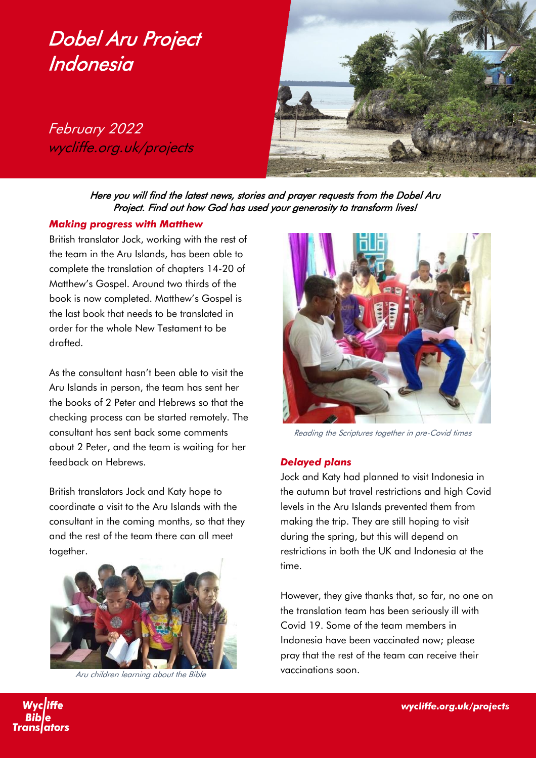# Dobel Aru Project **Indonesia**

February 2022 wycliffe.org.uk/projects



Here you will find the latest news, stories and prayer requests from the Dobel Aru Project. Find out how God has used your generosity to transform lives!

#### *Making progress with Matthew*

British translator Jock, working with the rest of the team in the Aru Islands, has been able to complete the translation of chapters 14-20 of Matthew's Gospel. Around two thirds of the book is now completed. Matthew's Gospel is the last book that needs to be translated in order for the whole New Testament to be drafted.

As the consultant hasn't been able to visit the Aru Islands in person, the team has sent her the books of 2 Peter and Hebrews so that the checking process can be started remotely. The consultant has sent back some comments about 2 Peter, and the team is waiting for her feedback on Hebrews.

British translators Jock and Katy hope to coordinate a visit to the Aru Islands with the consultant in the coming months, so that they and the rest of the team there can all meet together.



Aru children learning about the Bible



Reading the Scriptures together in pre-Covid times

#### *Delayed plans*

Jock and Katy had planned to visit Indonesia in the autumn but travel restrictions and high Covid levels in the Aru Islands prevented them from making the trip. They are still hoping to visit during the spring, but this will depend on restrictions in both the UK and Indonesia at the time.

However, they give thanks that, so far, no one on the translation team has been seriously ill with Covid 19. Some of the team members in Indonesia have been vaccinated now; please pray that the rest of the team can receive their vaccinations soon.